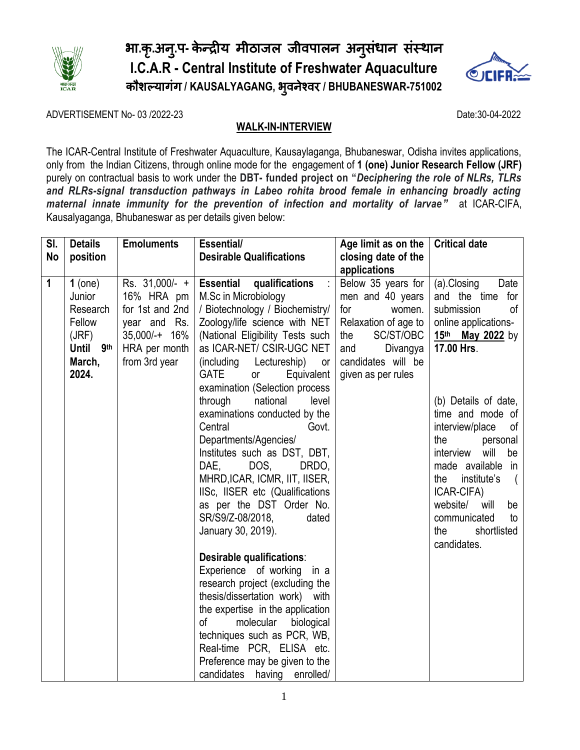

# भा.कृ.अनु.प- केन्द्रीय मीठाजल जीवपालन अनुसंधान संस्थान **I.C.A.R - Central Institute of Freshwater Aquaculture** कौशल्यागंग **/ KAUSALYAGANG,** भ ु वनेश्वर **/ BHUBANESWAR-751002**



ADVERTISEMENT No- 03 /2022-23 Date:30-04-2022

# **WALK-IN-INTERVIEW**

The ICAR-Central Institute of Freshwater Aquaculture, Kausaylaganga, Bhubaneswar, Odisha invites applications, only from the Indian Citizens, through online mode for the engagement of **1 (one) Junior Research Fellow (JRF)**  purely on contractual basis to work under the **DBT- funded project on "***Deciphering the role of NLRs, TLRs and RLRs-signal transduction pathways in Labeo rohita brood female in enhancing broadly acting maternal innate immunity for the prevention of infection and mortality of larvae"* at ICAR-CIFA, Kausalyaganga, Bhubaneswar as per details given below:

| SI.         | <b>Details</b>      | <b>Emoluments</b> | Essential/                                        | Age limit as on the  | <b>Critical date</b>                     |  |
|-------------|---------------------|-------------------|---------------------------------------------------|----------------------|------------------------------------------|--|
| No          | position            |                   | <b>Desirable Qualifications</b>                   | closing date of the  |                                          |  |
|             |                     |                   |                                                   | applications         |                                          |  |
| $\mathbf 1$ | $1$ (one)           | Rs. 31,000/- +    | <b>Essential</b><br>qualifications                | Below 35 years for   | (a).Closing<br>Date                      |  |
|             | Junior              | 16% HRA pm        | M.Sc in Microbiology                              | men and 40 years     | and the time for                         |  |
|             | Research            | for 1st and 2nd   | / Biotechnology / Biochemistry/                   | for<br>women.        | submission<br>of                         |  |
|             | Fellow              | year and Rs.      | Zoology/life science with NET                     | Relaxation of age to | online applications-                     |  |
|             | (JRF)               | 35,000/-+ 16%     | (National Eligibility Tests such                  | SC/ST/OBC<br>the     | 15th May 2022 by                         |  |
|             | Until<br><b>9th</b> | HRA per month     | as ICAR-NET/ CSIR-UGC NET                         | Divangya<br>and      | 17.00 Hrs.                               |  |
|             | March,              | from 3rd year     | (including Lectureship)<br>or                     | candidates will be   |                                          |  |
|             | 2024.               |                   | <b>GATE</b><br>Equivalent<br>or                   | given as per rules   |                                          |  |
|             |                     |                   | examination (Selection process                    |                      |                                          |  |
|             |                     |                   | through<br>national<br>level                      |                      | (b) Details of date,                     |  |
|             |                     |                   | examinations conducted by the<br>Central<br>Govt. |                      | time and mode of                         |  |
|             |                     |                   | Departments/Agencies/                             |                      | interview/place<br>of<br>the<br>personal |  |
|             |                     |                   | Institutes such as DST, DBT,                      |                      | interview<br>will<br>be                  |  |
|             |                     |                   | DAE.<br>DOS,<br>DRDO,                             |                      | made available in                        |  |
|             |                     |                   | MHRD, ICAR, ICMR, IIT, IISER,                     |                      | institute's<br>the                       |  |
|             |                     |                   | IISc, IISER etc (Qualifications                   |                      | ICAR-CIFA)                               |  |
|             |                     |                   | as per the DST Order No.                          |                      | website/<br>will<br>be                   |  |
|             |                     |                   | SR/S9/Z-08/2018,<br>dated                         |                      | communicated<br>to                       |  |
|             |                     |                   | January 30, 2019).                                |                      | shortlisted<br>the                       |  |
|             |                     |                   |                                                   |                      | candidates.                              |  |
|             |                     |                   | Desirable qualifications:                         |                      |                                          |  |
|             |                     |                   | Experience of working in a                        |                      |                                          |  |
|             |                     |                   | research project (excluding the                   |                      |                                          |  |
|             |                     |                   | thesis/dissertation work) with                    |                      |                                          |  |
|             |                     |                   | the expertise in the application                  |                      |                                          |  |
|             |                     |                   | of<br>molecular<br>biological                     |                      |                                          |  |
|             |                     |                   | techniques such as PCR, WB,                       |                      |                                          |  |
|             |                     |                   | Real-time PCR, ELISA etc.                         |                      |                                          |  |
|             |                     |                   | Preference may be given to the                    |                      |                                          |  |
|             |                     |                   | candidates having enrolled/                       |                      |                                          |  |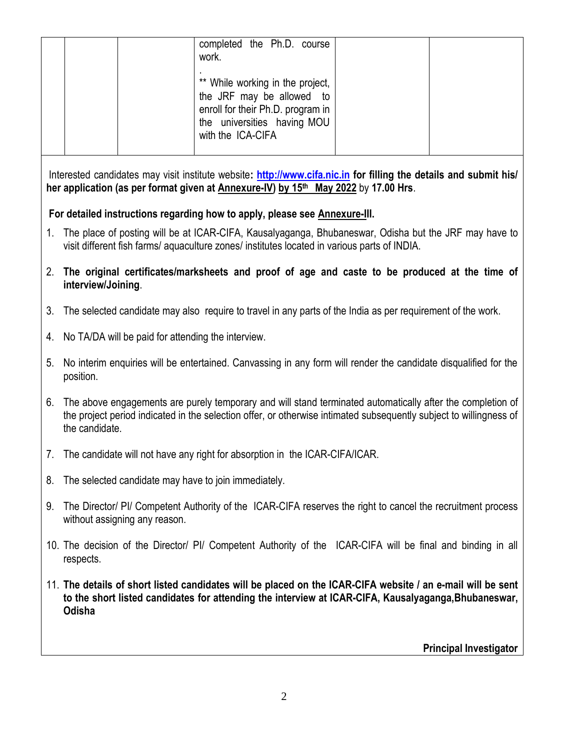|    |                                                                                                                                                                                                                                                    |  | completed the Ph.D. course<br>work.                                                                                                                                                                                  |  |                               |  |
|----|----------------------------------------------------------------------------------------------------------------------------------------------------------------------------------------------------------------------------------------------------|--|----------------------------------------------------------------------------------------------------------------------------------------------------------------------------------------------------------------------|--|-------------------------------|--|
|    |                                                                                                                                                                                                                                                    |  |                                                                                                                                                                                                                      |  |                               |  |
|    |                                                                                                                                                                                                                                                    |  | ** While working in the project,<br>the JRF may be allowed<br>to                                                                                                                                                     |  |                               |  |
|    |                                                                                                                                                                                                                                                    |  | enroll for their Ph.D. program in                                                                                                                                                                                    |  |                               |  |
|    |                                                                                                                                                                                                                                                    |  | the universities having MOU<br>with the ICA-CIFA                                                                                                                                                                     |  |                               |  |
|    |                                                                                                                                                                                                                                                    |  |                                                                                                                                                                                                                      |  |                               |  |
|    |                                                                                                                                                                                                                                                    |  | Interested candidates may visit institute website: http://www.cifa.nic.in for filling the details and submit his/<br>her application (as per format given at Annexure-IV) by 15 <sup>th</sup> May 2022 by 17.00 Hrs. |  |                               |  |
|    |                                                                                                                                                                                                                                                    |  | For detailed instructions regarding how to apply, please see Annexure-III.                                                                                                                                           |  |                               |  |
| 1. |                                                                                                                                                                                                                                                    |  | The place of posting will be at ICAR-CIFA, Kausalyaganga, Bhubaneswar, Odisha but the JRF may have to<br>visit different fish farms/ aquaculture zones/ institutes located in various parts of INDIA.                |  |                               |  |
| 2. | interview/Joining.                                                                                                                                                                                                                                 |  | The original certificates/marksheets and proof of age and caste to be produced at the time of                                                                                                                        |  |                               |  |
| 3. |                                                                                                                                                                                                                                                    |  | The selected candidate may also require to travel in any parts of the India as per requirement of the work.                                                                                                          |  |                               |  |
| 4. | No TA/DA will be paid for attending the interview.                                                                                                                                                                                                 |  |                                                                                                                                                                                                                      |  |                               |  |
| 5. | No interim enquiries will be entertained. Canvassing in any form will render the candidate disqualified for the<br>position.                                                                                                                       |  |                                                                                                                                                                                                                      |  |                               |  |
| 6. | The above engagements are purely temporary and will stand terminated automatically after the completion of<br>the project period indicated in the selection offer, or otherwise intimated subsequently subject to willingness of<br>the candidate. |  |                                                                                                                                                                                                                      |  |                               |  |
| 7. | The candidate will not have any right for absorption in the ICAR-CIFA/ICAR.                                                                                                                                                                        |  |                                                                                                                                                                                                                      |  |                               |  |
| 8. | The selected candidate may have to join immediately.                                                                                                                                                                                               |  |                                                                                                                                                                                                                      |  |                               |  |
| 9. | The Director/ PI/ Competent Authority of the ICAR-CIFA reserves the right to cancel the recruitment process<br>without assigning any reason.                                                                                                       |  |                                                                                                                                                                                                                      |  |                               |  |
|    | 10. The decision of the Director/ PI/ Competent Authority of the ICAR-CIFA will be final and binding in all<br>respects.                                                                                                                           |  |                                                                                                                                                                                                                      |  |                               |  |
|    | 11. The details of short listed candidates will be placed on the ICAR-CIFA website / an e-mail will be sent<br>to the short listed candidates for attending the interview at ICAR-CIFA, Kausalyaganga, Bhubaneswar,<br>Odisha                      |  |                                                                                                                                                                                                                      |  |                               |  |
|    |                                                                                                                                                                                                                                                    |  |                                                                                                                                                                                                                      |  | <b>Principal Investigator</b> |  |
|    |                                                                                                                                                                                                                                                    |  |                                                                                                                                                                                                                      |  |                               |  |

2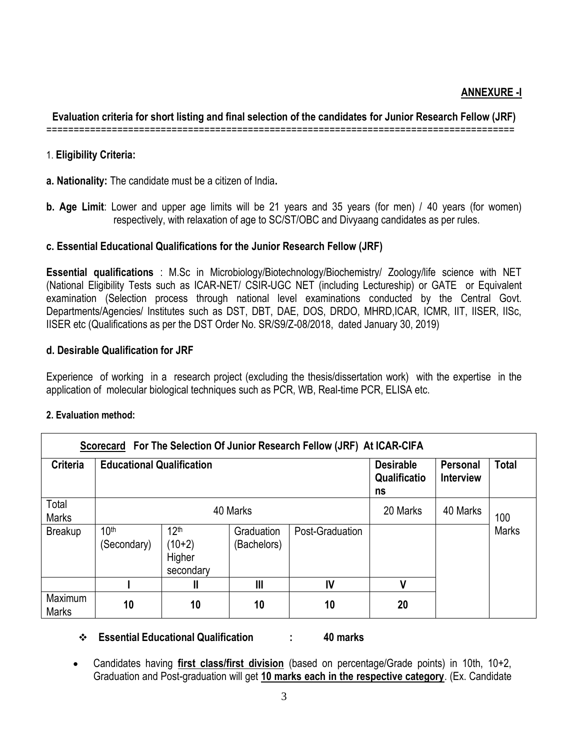# **ANNEXURE -I**

**Evaluation criteria for short listing and final selection of the candidates for Junior Research Fellow (JRF)** ======================================================================================

#### 1. **Eligibility Criteria:**

**a. Nationality:** The candidate must be a citizen of India**.**

**b. Age Limit**: Lower and upper age limits will be 21 years and 35 years (for men) / 40 years (for women) respectively, with relaxation of age to SC/ST/OBC and Divyaang candidates as per rules.

#### **c. Essential Educational Qualifications for the Junior Research Fellow (JRF)**

**Essential qualifications** : M.Sc in Microbiology/Biotechnology/Biochemistry/ Zoology/life science with NET (National Eligibility Tests such as ICAR-NET/ CSIR-UGC NET (including Lectureship) or GATE or Equivalent examination (Selection process through national level examinations conducted by the Central Govt. Departments/Agencies/ Institutes such as DST, DBT, DAE, DOS, DRDO, MHRD,ICAR, ICMR, IIT, IISER, IISc, IISER etc (Qualifications as per the DST Order No. SR/S9/Z-08/2018, dated January 30, 2019)

#### **d. Desirable Qualification for JRF**

Experience of working in a research project (excluding the thesis/dissertation work) with the expertise in the application of molecular biological techniques such as PCR, WB, Real-time PCR, ELISA etc.

#### **2. Evaluation method:**

| Scorecard For The Selection Of Junior Research Fellow (JRF) At ICAR-CIFA |                                  |                                                     |                           |                 |                                        |                              |              |  |
|--------------------------------------------------------------------------|----------------------------------|-----------------------------------------------------|---------------------------|-----------------|----------------------------------------|------------------------------|--------------|--|
| <b>Criteria</b>                                                          | <b>Educational Qualification</b> |                                                     |                           |                 | <b>Desirable</b><br>Qualificatio<br>ns | Personal<br><b>Interview</b> | <b>Total</b> |  |
| Total<br><b>Marks</b>                                                    | 40 Marks                         |                                                     |                           |                 | 20 Marks                               | 40 Marks                     | 100          |  |
| <b>Breakup</b>                                                           | 10 <sup>th</sup><br>(Secondary)  | 12 <sup>th</sup><br>$(10+2)$<br>Higher<br>secondary | Graduation<br>(Bachelors) | Post-Graduation |                                        |                              | <b>Marks</b> |  |
|                                                                          |                                  | Ш                                                   | Ш                         | IV              | ٧                                      |                              |              |  |
| Maximum<br><b>Marks</b>                                                  | 10                               | 10                                                  | 10                        | 10              | 20                                     |                              |              |  |

**Essential Educational Qualification : 40 marks**

 Candidates having **first class/first division** (based on percentage/Grade points) in 10th, 10+2, Graduation and Post-graduation will get **10 marks each in the respective category**. (Ex. Candidate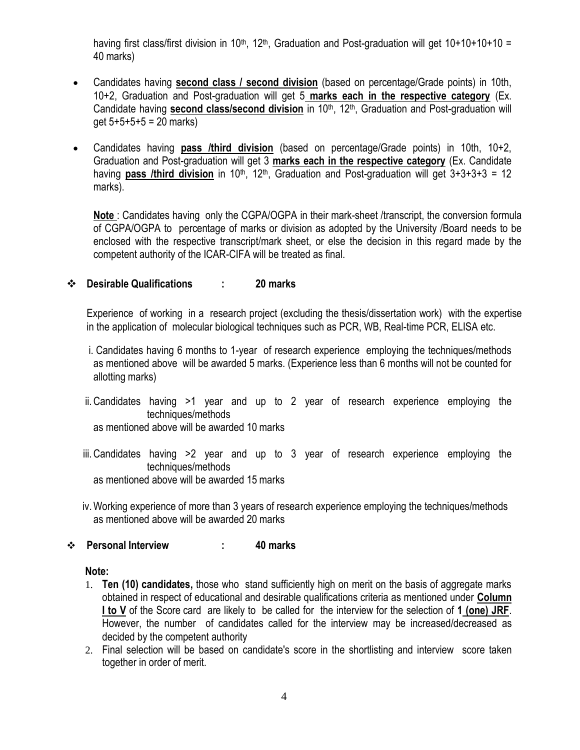having first class/first division in 10<sup>th</sup>, 12<sup>th</sup>, Graduation and Post-graduation will get 10+10+10+10 = 40 marks)

- Candidates having **second class / second division** (based on percentage/Grade points) in 10th, 10+2, Graduation and Post-graduation will get 5 **marks each in the respective category** (Ex. Candidate having **second class/second division** in 10<sup>th</sup>, 12<sup>th</sup>, Graduation and Post-graduation will  $get 5+5+5+5 = 20$  marks)
- Candidates having **pass /third division** (based on percentage/Grade points) in 10th, 10+2, Graduation and Post-graduation will get 3 **marks each in the respective category** (Ex. Candidate having **pass /third division** in 10<sup>th</sup>, 12<sup>th</sup>, Graduation and Post-graduation will get 3+3+3+3 = 12 marks).

**Note** : Candidates having only the CGPA/OGPA in their mark-sheet /transcript, the conversion formula of CGPA/OGPA to percentage of marks or division as adopted by the University /Board needs to be enclosed with the respective transcript/mark sheet, or else the decision in this regard made by the competent authority of the ICAR-CIFA will be treated as final.

#### **Desirable Qualifications : 20 marks**

Experience of working in a research project (excluding the thesis/dissertation work) with the expertise in the application of molecular biological techniques such as PCR, WB, Real-time PCR, ELISA etc.

- i. Candidates having 6 months to 1-year of research experience employing the techniques/methods as mentioned above will be awarded 5 marks. (Experience less than 6 months will not be counted for allotting marks)
- ii.Candidates having >1 year and up to 2 year of research experience employing the techniques/methods

as mentioned above will be awarded 10 marks

iii.Candidates having >2 year and up to 3 year of research experience employing the techniques/methods as mentioned above will be awarded 15 marks

iv.Working experience of more than 3 years of research experience employing the techniques/methods as mentioned above will be awarded 20 marks

#### **Personal Interview : 40 marks**

#### **Note:**

- 1. **Ten (10) candidates,** those who stand sufficiently high on merit on the basis of aggregate marks obtained in respect of educational and desirable qualifications criteria as mentioned under **Column I to V** of the Score card are likely to be called for the interview for the selection of **1 (one) JRF**. However, the number of candidates called for the interview may be increased/decreased as decided by the competent authority
- 2. Final selection will be based on candidate's score in the shortlisting and interview score taken together in order of merit.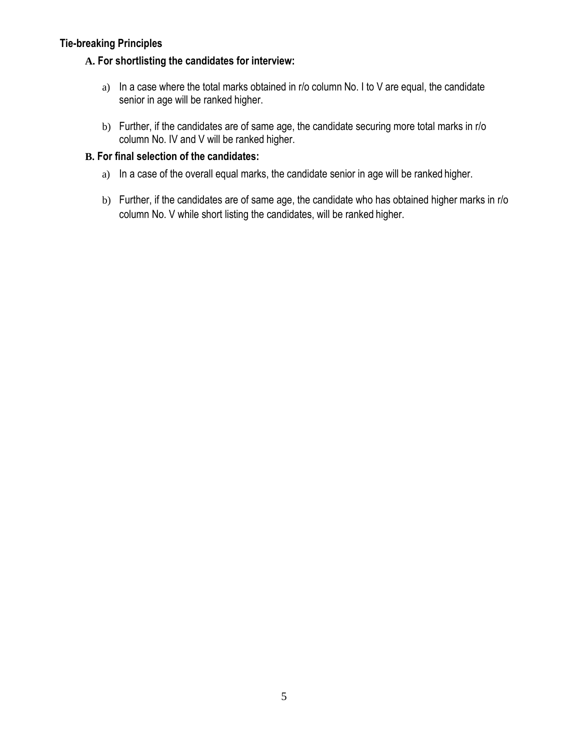# **Tie-breaking Principles**

## **A. For shortlisting the candidates for interview:**

- a) In a case where the total marks obtained in r/o column No. I to V are equal, the candidate senior in age will be ranked higher.
- b) Further, if the candidates are of same age, the candidate securing more total marks in r/o column No. IV and V will be ranked higher.

### **B. For final selection of the candidates:**

- a) In a case of the overall equal marks, the candidate senior in age will be ranked higher.
- b) Further, if the candidates are of same age, the candidate who has obtained higher marks in r/o column No. V while short listing the candidates, will be ranked higher.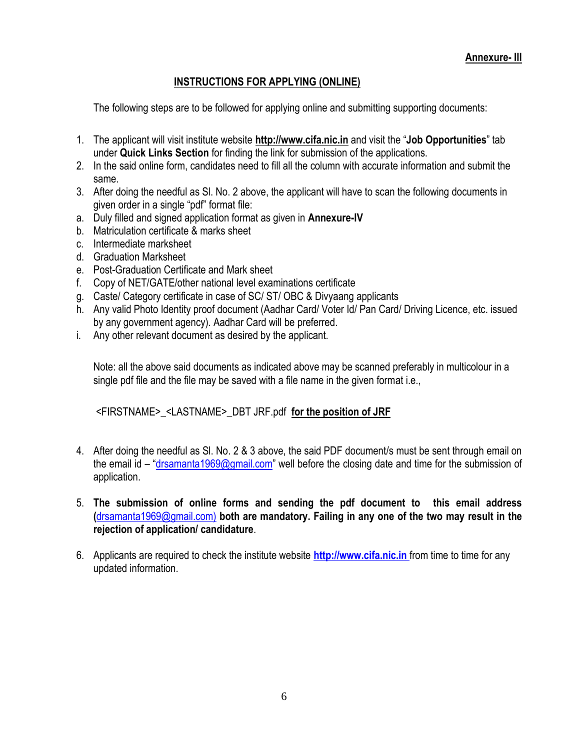# **INSTRUCTIONS FOR APPLYING (ONLINE)**

The following steps are to be followed for applying online and submitting supporting documents:

- 1. The applicant will visit institute website **[http://www.cifa.nic.in](http://www.cifa.nic.in/)** and visit the "**Job Opportunities**" tab under **Quick Links Section** for finding the link for submission of the applications.
- 2. In the said online form, candidates need to fill all the column with accurate information and submit the same.
- 3. After doing the needful as Sl. No. 2 above, the applicant will have to scan the following documents in given order in a single "pdf" format file:
- a. Duly filled and signed application format as given in **Annexure-IV**
- b. Matriculation certificate & marks sheet
- c. Intermediate marksheet
- d. Graduation Marksheet
- e. Post-Graduation Certificate and Mark sheet
- f. Copy of NET/GATE/other national level examinations certificate
- g. Caste/ Category certificate in case of SC/ ST/ OBC & Divyaang applicants
- h. Any valid Photo Identity proof document (Aadhar Card/ Voter Id/ Pan Card/ Driving Licence, etc. issued by any government agency). Aadhar Card will be preferred.
- i. Any other relevant document as desired by the applicant.

Note: all the above said documents as indicated above may be scanned preferably in multicolour in a single pdf file and the file may be saved with a file name in the given format i.e.,

<FIRSTNAME>\_<LASTNAME>\_DBT JRF.pdf **for the position of JRF**

- 4. After doing the needful as Sl. No. 2 & 3 above, the said PDF document/s must be sent through email on the email id – "[drsamanta1969@gmail.com](mailto:drsamanta1969@gmail.com)" well before the closing date and time for the submission of application.
- 5. **The submission of online forms and sending the pdf document to this email address (**[drsamanta1969@gmail.com\)](mailto:drsamanta1969@gmail.com) **both are mandatory. Failing in any one of the two may result in the rejection of application/ candidature**.
- 6. Applicants are required to check the institute website **[http://www.cifa.nic.in](http://www.cifa.nic.in/)** from time to time for any updated information.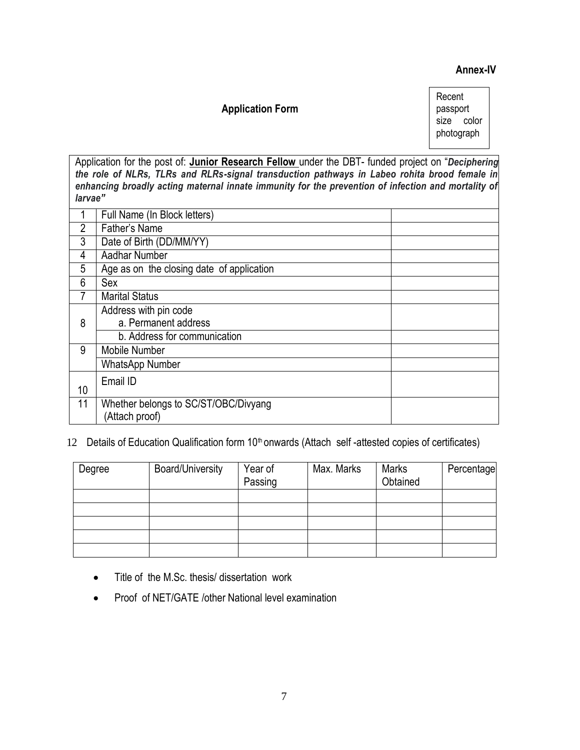#### **Annex-IV**

#### **Application Form**

Recent passport size color photograph

Application for the post of: **Junior Research Fellow** under the DBT- funded project on "*Deciphering the role of NLRs, TLRs and RLRs-signal transduction pathways in Labeo rohita brood female in enhancing broadly acting maternal innate immunity for the prevention of infection and mortality of larvae"*

|    | Full Name (In Block letters)              |
|----|-------------------------------------------|
| 2  | Father's Name                             |
| 3  | Date of Birth (DD/MM/YY)                  |
| 4  | <b>Aadhar Number</b>                      |
| 5  | Age as on the closing date of application |
| 6  | Sex                                       |
|    | <b>Marital Status</b>                     |
|    | Address with pin code                     |
| 8  | a. Permanent address                      |
|    | b. Address for communication              |
| 9  | Mobile Number                             |
|    | <b>WhatsApp Number</b>                    |
|    | Email ID                                  |
| 10 |                                           |
| 11 | Whether belongs to SC/ST/OBC/Divyang      |
|    | (Attach proof)                            |

12 Details of Education Qualification form 10<sup>th</sup> onwards (Attach self-attested copies of certificates)

| Degree | <b>Board/University</b> | Year of<br>Passing | Max. Marks | <b>Marks</b><br>Obtained | Percentage |
|--------|-------------------------|--------------------|------------|--------------------------|------------|
|        |                         |                    |            |                          |            |
|        |                         |                    |            |                          |            |
|        |                         |                    |            |                          |            |
|        |                         |                    |            |                          |            |
|        |                         |                    |            |                          |            |

- Title of the M.Sc. thesis/ dissertation work
- Proof of NET/GATE /other National level examination